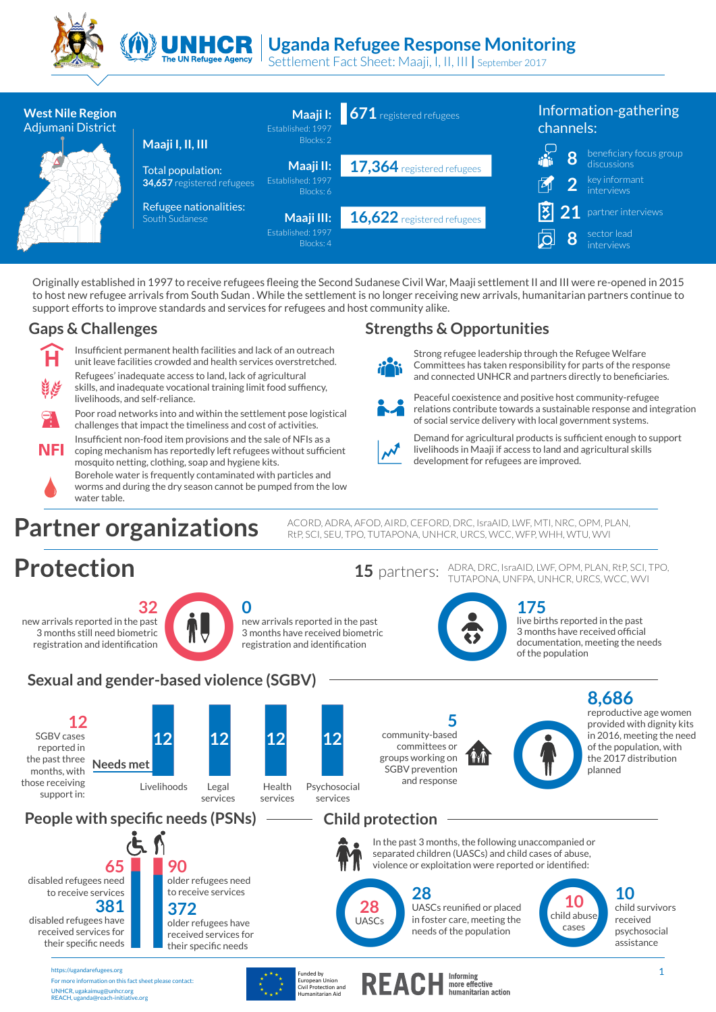



# UN**HCR** Uganda Refugee Response Monitoring

Settlement Fact Sheet: Maaji, I, II, III **|** September 2017



Originally established in 1997 to receive refugees fleeing the Second Sudanese Civil War, Maaji settlement II and III were re-opened in 2015 to host new refugee arrivals from South Sudan . While the settlement is no longer receiving new arrivals, humanitarian partners continue to support efforts to improve standards and services for refugees and host community alike.

#### **Gaps & Challenges Strengths & Opportunities**



Insufficient permanent health facilities and lack of an outreach unit leave facilities crowded and health services overstretched. Refugees' inadequate access to land, lack of agricultural skills, and inadequate vocational training limit food suffiency, livelihoods, and self-reliance.



Poor road networks into and within the settlement pose logistical challenges that impact the timeliness and cost of activities. Insufficient non-food item provisions and the sale of NFIs as a

NFL coping mechanism has reportedly left refugees without sufficient mosquito netting, clothing, soap and hygiene kits.

Borehole water is frequently contaminated with particles and worms and during the dry season cannot be pumped from the low water table.

**Partner organizations** ACORD, ADRA, AFOD, AIRD, CEFORD, DRC, IsraAID, LWF, MTI, NRC, OPM, PLAN,

## **Protection**

**32** new arrivals reported in the past 3 months still need biometric registration and identification



new arrivals reported in the past 3 months have received biometric registration and identification

**175** 15 partners: ADRA, DRC, IsraAID, LWF, OPM, PLAN, RtP, SCI, TPO, TUTAPONA, UNFPA, UNHCR, URCS, WCC, WVI

development for refugees are improved.



Strong refugee leadership through the Refugee Welfare Committees has taken responsibility for parts of the response and connected UNHCR and partners directly to beneficiaries. Peaceful coexistence and positive host community-refugee relations contribute towards a sustainable response and integration

of social service delivery with local government systems.

Demand for agricultural products is sufficient enough to support livelihoods in Maaji if access to land and agricultural skills

> live births reported in the past 3 months have received official documentation, meeting the needs of the population

### **Sexual and gender-based violence (SGBV)**